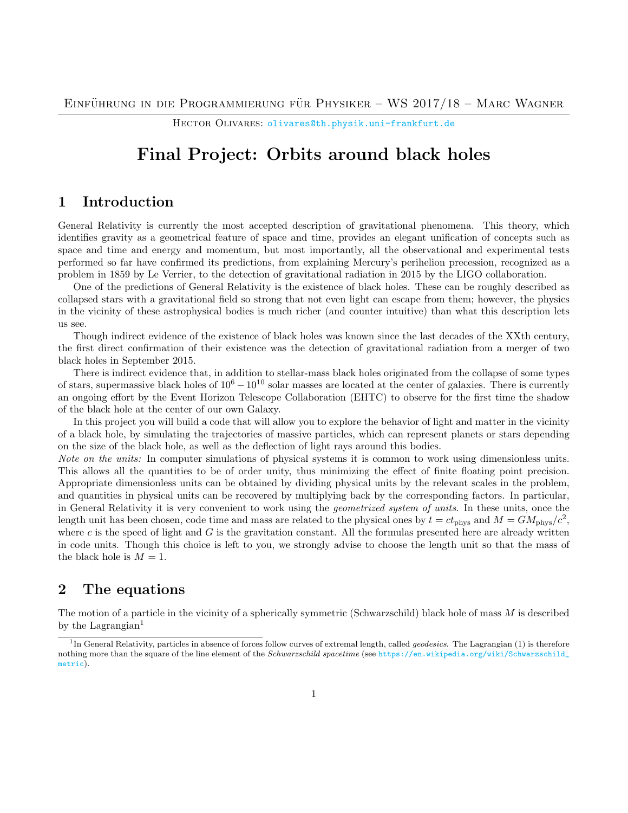HECTOR OLIVARES: [olivares@th.physik.uni-frankfurt.de](mailto:olivares@th.physik.uni-frankfurt.de)

# Final Project: Orbits around black holes

## 1 Introduction

General Relativity is currently the most accepted description of gravitational phenomena. This theory, which identifies gravity as a geometrical feature of space and time, provides an elegant unification of concepts such as space and time and energy and momentum, but most importantly, all the observational and experimental tests performed so far have confirmed its predictions, from explaining Mercury's perihelion precession, recognized as a problem in 1859 by Le Verrier, to the detection of gravitational radiation in 2015 by the LIGO collaboration.

One of the predictions of General Relativity is the existence of black holes. These can be roughly described as collapsed stars with a gravitational field so strong that not even light can escape from them; however, the physics in the vicinity of these astrophysical bodies is much richer (and counter intuitive) than what this description lets us see.

Though indirect evidence of the existence of black holes was known since the last decades of the XXth century, the first direct confirmation of their existence was the detection of gravitational radiation from a merger of two black holes in September 2015.

There is indirect evidence that, in addition to stellar-mass black holes originated from the collapse of some types of stars, supermassive black holes of  $10^6 - 10^{10}$  solar masses are located at the center of galaxies. There is currently an ongoing effort by the Event Horizon Telescope Collaboration (EHTC) to observe for the first time the shadow of the black hole at the center of our own Galaxy.

In this project you will build a code that will allow you to explore the behavior of light and matter in the vicinity of a black hole, by simulating the trajectories of massive particles, which can represent planets or stars depending on the size of the black hole, as well as the deflection of light rays around this bodies.

Note on the units: In computer simulations of physical systems it is common to work using dimensionless units. This allows all the quantities to be of order unity, thus minimizing the effect of finite floating point precision. Appropriate dimensionless units can be obtained by dividing physical units by the relevant scales in the problem, and quantities in physical units can be recovered by multiplying back by the corresponding factors. In particular, in General Relativity it is very convenient to work using the geometrized system of units. In these units, once the length unit has been chosen, code time and mass are related to the physical ones by  $t = ct_{\text{phys}}$  and  $M = GM_{\text{phys}}/c^2$ , where  $c$  is the speed of light and  $G$  is the gravitation constant. All the formulas presented here are already written in code units. Though this choice is left to you, we strongly advise to choose the length unit so that the mass of the black hole is  $M = 1$ .

# 2 The equations

The motion of a particle in the vicinity of a spherically symmetric (Schwarzschild) black hole of mass  $M$  is described by the Lagrangian<sup>[1](#page-0-0)</sup>

<span id="page-0-0"></span><sup>&</sup>lt;sup>1</sup>In General Relativity, particles in absence of forces follow curves of extremal length, called *geodesics*. The Lagrangian [\(1\)](#page-1-0) is therefore nothing more than the square of the line element of the Schwarzschild spacetime (see [https://en.wikipedia.org/wiki/Schwarzschild\\_](https://en.wikipedia.org/wiki/Schwarzschild_metric) [metric](https://en.wikipedia.org/wiki/Schwarzschild_metric)).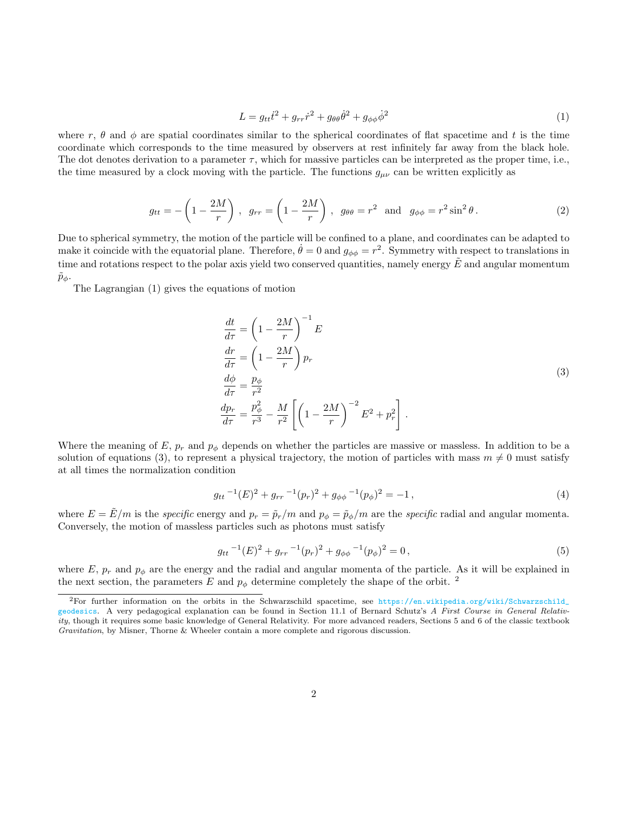<span id="page-1-0"></span>
$$
L = g_{tt}\dot{t}^2 + g_{rr}\dot{r}^2 + g_{\theta\theta}\dot{\theta}^2 + g_{\phi\phi}\dot{\phi}^2
$$
 (1)

where r,  $\theta$  and  $\phi$  are spatial coordinates similar to the spherical coordinates of flat spacetime and t is the time coordinate which corresponds to the time measured by observers at rest infinitely far away from the black hole. The dot denotes derivation to a parameter  $\tau$ , which for massive particles can be interpreted as the proper time, i.e., the time measured by a clock moving with the particle. The functions  $g_{\mu\nu}$  can be written explicitly as

$$
g_{tt} = -\left(1 - \frac{2M}{r}\right), \quad g_{rr} = \left(1 - \frac{2M}{r}\right), \quad g_{\theta\theta} = r^2 \quad \text{and} \quad g_{\phi\phi} = r^2 \sin^2 \theta \,. \tag{2}
$$

Due to spherical symmetry, the motion of the particle will be confined to a plane, and coordinates can be adapted to make it coincide with the equatorial plane. Therefore,  $\dot{\theta} = 0$  and  $g_{\phi\phi} = r^2$ . Symmetry with respect to translations in time and rotations respect to the polar axis yield two conserved quantities, namely energy  $\hat{E}$  and angular momentum  $\tilde{p}_\phi$ .

The Lagrangian [\(1\)](#page-1-0) gives the equations of motion

<span id="page-1-1"></span>
$$
\begin{aligned}\n\frac{dt}{d\tau} &= \left(1 - \frac{2M}{r}\right)^{-1} E \\
\frac{dr}{d\tau} &= \left(1 - \frac{2M}{r}\right) p_r \\
\frac{d\phi}{d\tau} &= \frac{p_\phi}{r^2} \\
\frac{dp_r}{d\tau} &= \frac{p_\phi^2}{r^3} - \frac{M}{r^2} \left[ \left(1 - \frac{2M}{r}\right)^{-2} E^2 + p_r^2 \right].\n\end{aligned} \tag{3}
$$

Where the meaning of E,  $p_r$  and  $p_\phi$  depends on whether the particles are massive or massless. In addition to be a solution of equations [\(3\)](#page-1-1), to represent a physical trajectory, the motion of particles with mass  $m \neq 0$  must satisfy at all times the normalization condition

<span id="page-1-3"></span>
$$
g_{tt}^{-1}(E)^2 + g_{rr}^{-1}(p_r)^2 + g_{\phi\phi}^{-1}(p_\phi)^2 = -1,
$$
\n(4)

where  $E = \tilde{E}/m$  is the specific energy and  $p_r = \tilde{p}_r/m$  and  $p_\phi = \tilde{p}_\phi/m$  are the specific radial and angular momenta. Conversely, the motion of massless particles such as photons must satisfy

<span id="page-1-4"></span>
$$
g_{tt}{}^{-1}(E)^2 + g_{rr}{}^{-1}(p_r)^2 + g_{\phi\phi}{}^{-1}(p_\phi)^2 = 0, \qquad (5)
$$

where E,  $p_r$  and  $p_\phi$  are the energy and the radial and angular momenta of the particle. As it will be explained in the next section, the parameters E and  $p_{\phi}$  determine completely the shape of the orbit.<sup>[2](#page-1-2)</sup>

<span id="page-1-2"></span> ${}^{2}$ For further information on the orbits in the Schwarzschild spacetime, see [https://en.wikipedia.org/wiki/Schwarzschild\\_](https://en.wikipedia.org/wiki/Schwarzschild_geodesics) [geodesics](https://en.wikipedia.org/wiki/Schwarzschild_geodesics). A very pedagogical explanation can be found in Section 11.1 of Bernard Schutz's A  $\hat{F}$ irst Course in General Relativity, though it requires some basic knowledge of General Relativity. For more advanced readers, Sections 5 and 6 of the classic textbook Gravitation, by Misner, Thorne & Wheeler contain a more complete and rigorous discussion.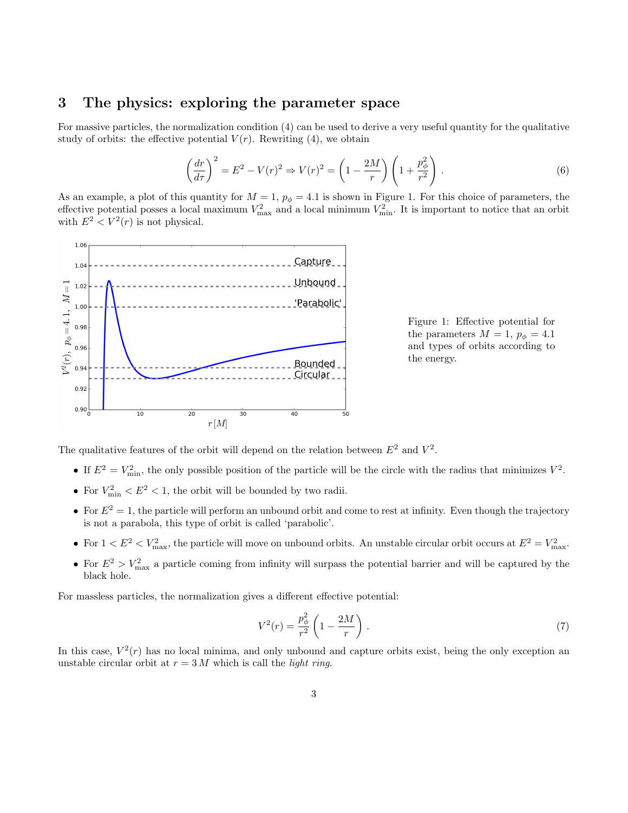#### 3 The physics: exploring the parameter space

For massive particles, the normalization condition [\(4\)](#page-1-3) can be used to derive a very useful quantity for the qualitative study of orbits: the effective potential  $V(r)$ . Rewriting [\(4\)](#page-1-3), we obtain

$$
\left(\frac{dr}{d\tau}\right)^2 = E^2 - V(r)^2 \Rightarrow V(r)^2 = \left(1 - \frac{2M}{r}\right)\left(1 + \frac{p_\phi^2}{r^2}\right). \tag{6}
$$

As an example, a plot of this quantity for  $M = 1$ ,  $p_{\phi} = 4.1$  is shown in Figure [1.](#page-2-0) For this choice of parameters, the effective potential posses a local maximum  $V_{\text{max}}^2$  and a local minimum  $V_{\text{min}}^2$ . It is important to notice that an orbit with  $E^2 < V^2(r)$  is not physical.



<span id="page-2-0"></span>Figure 1: Effective potential for the parameters  $M = 1$ ,  $p_{\phi} = 4.1$ and types of orbits according to the energy.

The qualitative features of the orbit will depend on the relation between  $E^2$  and  $V^2$ .

- If  $E^2 = V_{\text{min}}^2$ , the only possible position of the particle will be the circle with the radius that minimizes  $V^2$ .
- For  $V_{\text{min}}^2 < E^2 < 1$ , the orbit will be bounded by two radii.
- For  $E^2 = 1$ , the particle will perform an unbound orbit and come to rest at infinity. Even though the trajectory is not a parabola, this type of orbit is called 'parabolic'.
- For  $1 < E^2 < V_{\text{max}}^2$ , the particle will move on unbound orbits. An unstable circular orbit occurs at  $E^2 = V_{\text{max}}^2$ .
- For  $E^2 > V_{\text{max}}^2$  a particle coming from infinity will surpass the potential barrier and will be captured by the black hole.

For massless particles, the normalization gives a different effective potential:

$$
V^{2}(r) = \frac{p_{\phi}^{2}}{r^{2}} \left(1 - \frac{2M}{r}\right). \tag{7}
$$

In this case,  $V^2(r)$  has no local minima, and only unbound and capture orbits exist, being the only exception an unstable circular orbit at  $r = 3 M$  which is call the *light ring*.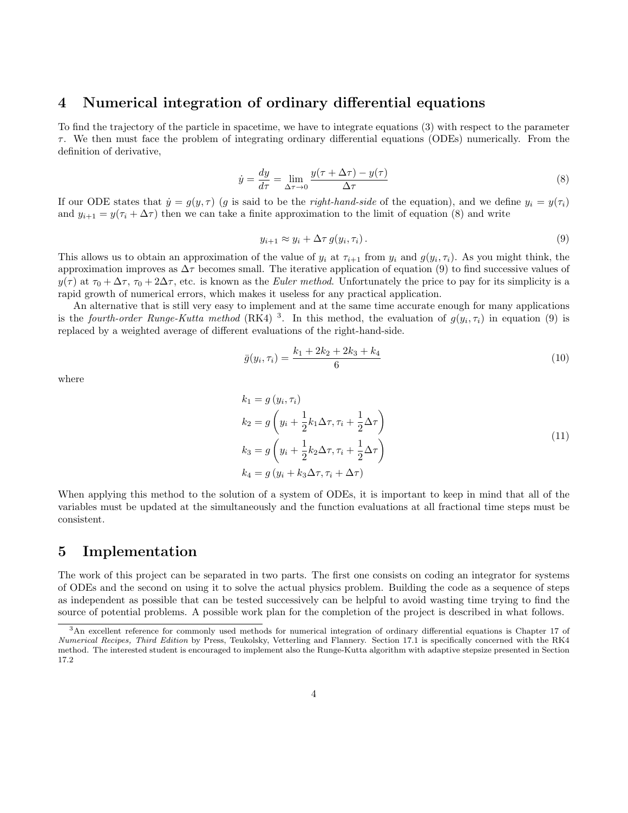#### 4 Numerical integration of ordinary differential equations

To find the trajectory of the particle in spacetime, we have to integrate equations [\(3\)](#page-1-1) with respect to the parameter  $\tau$ . We then must face the problem of integrating ordinary differential equations (ODEs) numerically. From the definition of derivative,

<span id="page-3-0"></span>
$$
\dot{y} = \frac{dy}{d\tau} = \lim_{\Delta \tau \to 0} \frac{y(\tau + \Delta \tau) - y(\tau)}{\Delta \tau}
$$
\n(8)

If our ODE states that  $\dot{y} = g(y, \tau)$  (g is said to be the *right-hand-side* of the equation), and we define  $y_i = y(\tau_i)$ and  $y_{i+1} = y(\tau_i + \Delta \tau)$  then we can take a finite approximation to the limit of equation [\(8\)](#page-3-0) and write

<span id="page-3-1"></span>
$$
y_{i+1} \approx y_i + \Delta \tau \, g(y_i, \tau_i). \tag{9}
$$

This allows us to obtain an approximation of the value of  $y_i$  at  $\tau_{i+1}$  from  $y_i$  and  $g(y_i, \tau_i)$ . As you might think, the approximation improves as  $\Delta \tau$  becomes small. The iterative application of equation [\(9\)](#page-3-1) to find successive values of  $y(\tau)$  at  $\tau_0 + \Delta \tau$ ,  $\tau_0 + 2\Delta \tau$ , etc. is known as the Euler method. Unfortunately the price to pay for its simplicity is a rapid growth of numerical errors, which makes it useless for any practical application.

An alternative that is still very easy to implement and at the same time accurate enough for many applications is the fourth-order Runge-Kutta method (RK4)<sup>[3](#page-3-2)</sup>. In this method, the evaluation of  $g(y_i, \tau_i)$  in equation [\(9\)](#page-3-1) is replaced by a weighted average of different evaluations of the right-hand-side.

$$
\bar{g}(y_i, \tau_i) = \frac{k_1 + 2k_2 + 2k_3 + k_4}{6} \tag{10}
$$

where

$$
k_1 = g(y_i, \tau_i)
$$
  
\n
$$
k_2 = g\left(y_i + \frac{1}{2}k_1\Delta\tau, \tau_i + \frac{1}{2}\Delta\tau\right)
$$
  
\n
$$
k_3 = g\left(y_i + \frac{1}{2}k_2\Delta\tau, \tau_i + \frac{1}{2}\Delta\tau\right)
$$
  
\n
$$
k_4 = g(y_i + k_3\Delta\tau, \tau_i + \Delta\tau)
$$
\n(11)

When applying this method to the solution of a system of ODEs, it is important to keep in mind that all of the variables must be updated at the simultaneously and the function evaluations at all fractional time steps must be consistent.

## 5 Implementation

The work of this project can be separated in two parts. The first one consists on coding an integrator for systems of ODEs and the second on using it to solve the actual physics problem. Building the code as a sequence of steps as independent as possible that can be tested successively can be helpful to avoid wasting time trying to find the source of potential problems. A possible work plan for the completion of the project is described in what follows.

<span id="page-3-2"></span><sup>3</sup>An excellent reference for commonly used methods for numerical integration of ordinary differential equations is Chapter 17 of Numerical Recipes, Third Edition by Press, Teukolsky, Vetterling and Flannery. Section 17.1 is specifically concerned with the RK4 method. The interested student is encouraged to implement also the Runge-Kutta algorithm with adaptive stepsize presented in Section 17.2